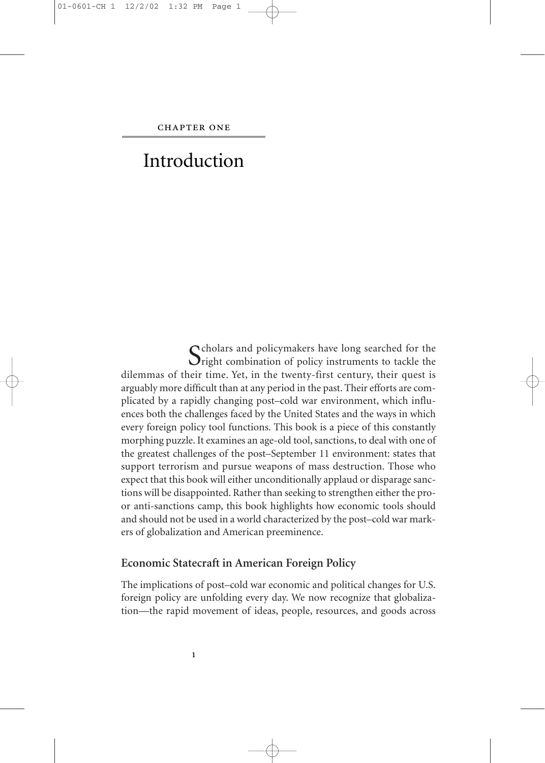# Introduction

Ccholars and policymakers have long searched for the  $\sum$ right combination of policy instruments to tackle the dilemmas of their time. Yet, in the twenty-first century, their quest is arguably more difficult than at any period in the past. Their efforts are complicated by a rapidly changing post–cold war environment, which influences both the challenges faced by the United States and the ways in which every foreign policy tool functions. This book is a piece of this constantly morphing puzzle. It examines an age-old tool, sanctions, to deal with one of the greatest challenges of the post–September 11 environment: states that support terrorism and pursue weapons of mass destruction. Those who expect that this book will either unconditionally applaud or disparage sanctions will be disappointed. Rather than seeking to strengthen either the proor anti-sanctions camp, this book highlights how economic tools should and should not be used in a world characterized by the post–cold war markers of globalization and American preeminence.

### **Economic Statecraft in American Foreign Policy**

The implications of post–cold war economic and political changes for U.S. foreign policy are unfolding every day. We now recognize that globalization—the rapid movement of ideas, people, resources, and goods across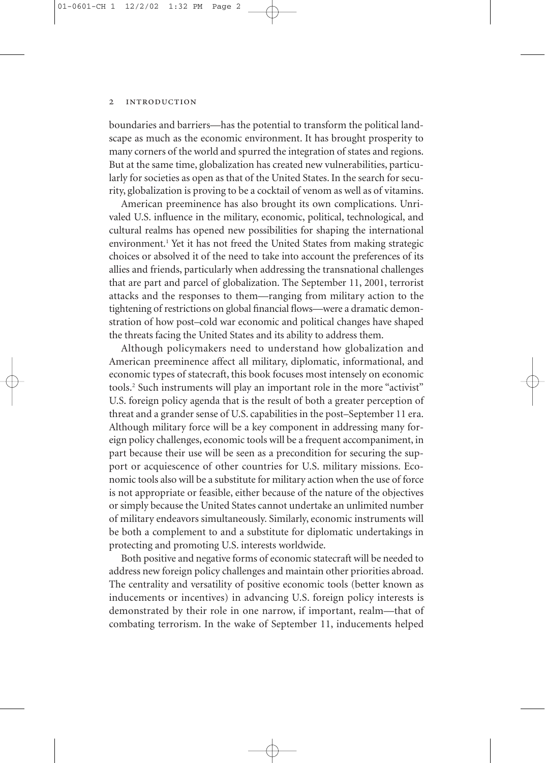#### 2 introduction

boundaries and barriers—has the potential to transform the political landscape as much as the economic environment. It has brought prosperity to many corners of the world and spurred the integration of states and regions. But at the same time, globalization has created new vulnerabilities, particularly for societies as open as that of the United States. In the search for security, globalization is proving to be a cocktail of venom as well as of vitamins.

American preeminence has also brought its own complications. Unrivaled U.S. influence in the military, economic, political, technological, and cultural realms has opened new possibilities for shaping the international environment.<sup>1</sup> Yet it has not freed the United States from making strategic choices or absolved it of the need to take into account the preferences of its allies and friends, particularly when addressing the transnational challenges that are part and parcel of globalization. The September 11, 2001, terrorist attacks and the responses to them—ranging from military action to the tightening of restrictions on global financial flows—were a dramatic demonstration of how post–cold war economic and political changes have shaped the threats facing the United States and its ability to address them.

Although policymakers need to understand how globalization and American preeminence affect all military, diplomatic, informational, and economic types of statecraft, this book focuses most intensely on economic tools.2 Such instruments will play an important role in the more "activist" U.S. foreign policy agenda that is the result of both a greater perception of threat and a grander sense of U.S. capabilities in the post–September 11 era. Although military force will be a key component in addressing many foreign policy challenges, economic tools will be a frequent accompaniment, in part because their use will be seen as a precondition for securing the support or acquiescence of other countries for U.S. military missions. Economic tools also will be a substitute for military action when the use of force is not appropriate or feasible, either because of the nature of the objectives or simply because the United States cannot undertake an unlimited number of military endeavors simultaneously. Similarly, economic instruments will be both a complement to and a substitute for diplomatic undertakings in protecting and promoting U.S. interests worldwide.

Both positive and negative forms of economic statecraft will be needed to address new foreign policy challenges and maintain other priorities abroad. The centrality and versatility of positive economic tools (better known as inducements or incentives) in advancing U.S. foreign policy interests is demonstrated by their role in one narrow, if important, realm—that of combating terrorism. In the wake of September 11, inducements helped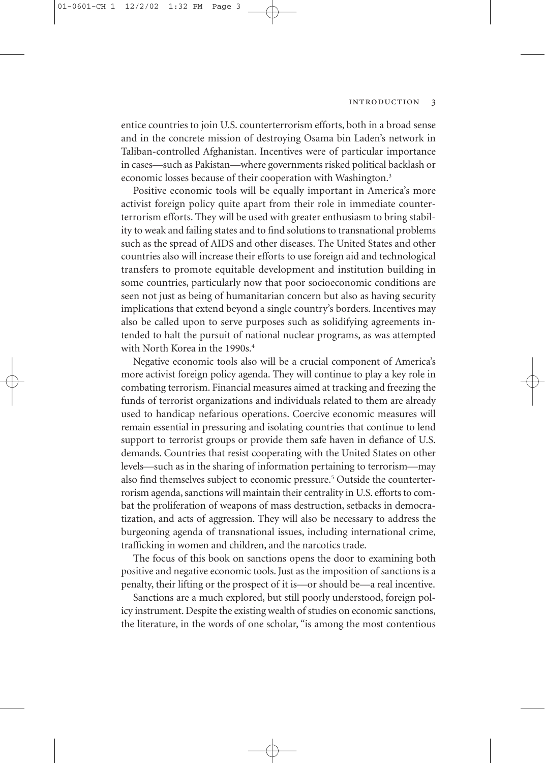entice countries to join U.S. counterterrorism efforts, both in a broad sense and in the concrete mission of destroying Osama bin Laden's network in Taliban-controlled Afghanistan. Incentives were of particular importance in cases—such as Pakistan—where governments risked political backlash or economic losses because of their cooperation with Washington.<sup>3</sup>

Positive economic tools will be equally important in America's more activist foreign policy quite apart from their role in immediate counterterrorism efforts. They will be used with greater enthusiasm to bring stability to weak and failing states and to find solutions to transnational problems such as the spread of AIDS and other diseases. The United States and other countries also will increase their efforts to use foreign aid and technological transfers to promote equitable development and institution building in some countries, particularly now that poor socioeconomic conditions are seen not just as being of humanitarian concern but also as having security implications that extend beyond a single country's borders. Incentives may also be called upon to serve purposes such as solidifying agreements intended to halt the pursuit of national nuclear programs, as was attempted with North Korea in the 1990s.<sup>4</sup>

Negative economic tools also will be a crucial component of America's more activist foreign policy agenda. They will continue to play a key role in combating terrorism. Financial measures aimed at tracking and freezing the funds of terrorist organizations and individuals related to them are already used to handicap nefarious operations. Coercive economic measures will remain essential in pressuring and isolating countries that continue to lend support to terrorist groups or provide them safe haven in defiance of U.S. demands. Countries that resist cooperating with the United States on other levels—such as in the sharing of information pertaining to terrorism—may also find themselves subject to economic pressure.<sup>5</sup> Outside the counterterrorism agenda, sanctions will maintain their centrality in U.S. efforts to combat the proliferation of weapons of mass destruction, setbacks in democratization, and acts of aggression. They will also be necessary to address the burgeoning agenda of transnational issues, including international crime, trafficking in women and children, and the narcotics trade.

The focus of this book on sanctions opens the door to examining both positive and negative economic tools. Just as the imposition of sanctions is a penalty, their lifting or the prospect of it is—or should be—a real incentive.

Sanctions are a much explored, but still poorly understood, foreign policy instrument. Despite the existing wealth of studies on economic sanctions, the literature, in the words of one scholar, "is among the most contentious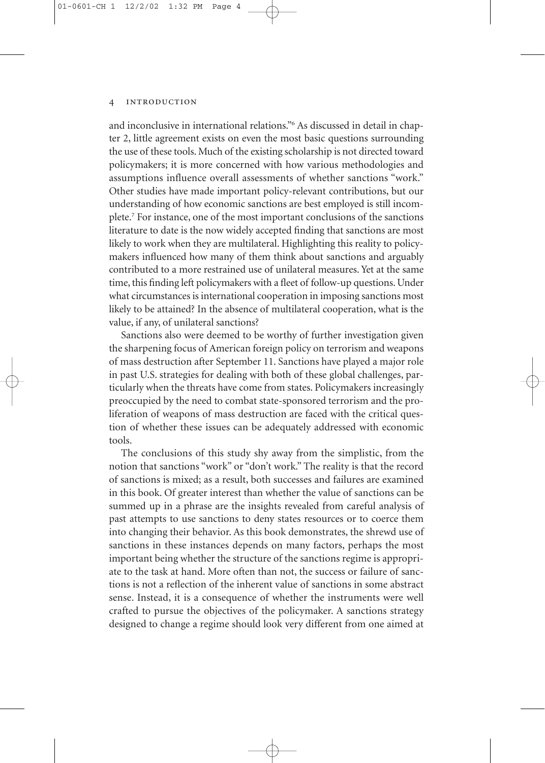#### 4 introduction

and inconclusive in international relations."6 As discussed in detail in chapter 2, little agreement exists on even the most basic questions surrounding the use of these tools. Much of the existing scholarship is not directed toward policymakers; it is more concerned with how various methodologies and assumptions influence overall assessments of whether sanctions "work." Other studies have made important policy-relevant contributions, but our understanding of how economic sanctions are best employed is still incomplete.7 For instance, one of the most important conclusions of the sanctions literature to date is the now widely accepted finding that sanctions are most likely to work when they are multilateral. Highlighting this reality to policymakers influenced how many of them think about sanctions and arguably contributed to a more restrained use of unilateral measures. Yet at the same time, this finding left policymakers with a fleet of follow-up questions. Under what circumstances is international cooperation in imposing sanctions most likely to be attained? In the absence of multilateral cooperation, what is the value, if any, of unilateral sanctions?

Sanctions also were deemed to be worthy of further investigation given the sharpening focus of American foreign policy on terrorism and weapons of mass destruction after September 11. Sanctions have played a major role in past U.S. strategies for dealing with both of these global challenges, particularly when the threats have come from states. Policymakers increasingly preoccupied by the need to combat state-sponsored terrorism and the proliferation of weapons of mass destruction are faced with the critical question of whether these issues can be adequately addressed with economic tools.

The conclusions of this study shy away from the simplistic, from the notion that sanctions "work" or "don't work." The reality is that the record of sanctions is mixed; as a result, both successes and failures are examined in this book. Of greater interest than whether the value of sanctions can be summed up in a phrase are the insights revealed from careful analysis of past attempts to use sanctions to deny states resources or to coerce them into changing their behavior. As this book demonstrates, the shrewd use of sanctions in these instances depends on many factors, perhaps the most important being whether the structure of the sanctions regime is appropriate to the task at hand. More often than not, the success or failure of sanctions is not a reflection of the inherent value of sanctions in some abstract sense. Instead, it is a consequence of whether the instruments were well crafted to pursue the objectives of the policymaker. A sanctions strategy designed to change a regime should look very different from one aimed at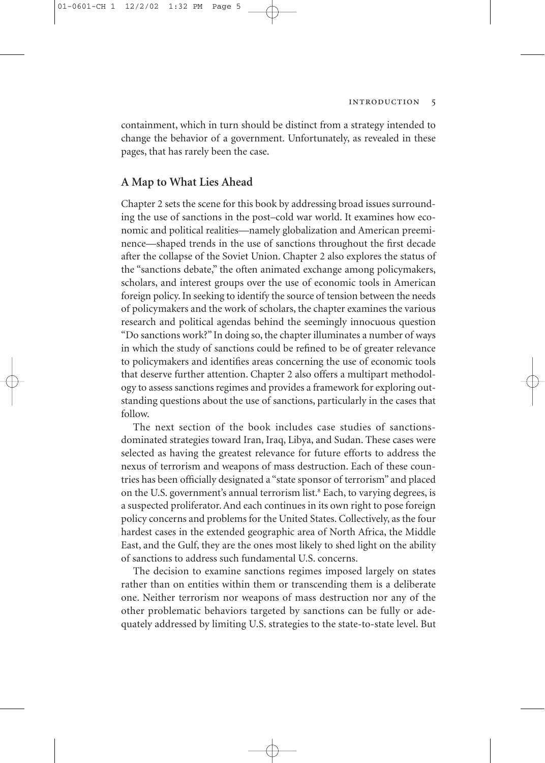containment, which in turn should be distinct from a strategy intended to change the behavior of a government. Unfortunately, as revealed in these pages, that has rarely been the case.

## **A Map to What Lies Ahead**

Chapter 2 sets the scene for this book by addressing broad issues surrounding the use of sanctions in the post–cold war world. It examines how economic and political realities—namely globalization and American preeminence—shaped trends in the use of sanctions throughout the first decade after the collapse of the Soviet Union. Chapter 2 also explores the status of the "sanctions debate," the often animated exchange among policymakers, scholars, and interest groups over the use of economic tools in American foreign policy. In seeking to identify the source of tension between the needs of policymakers and the work of scholars, the chapter examines the various research and political agendas behind the seemingly innocuous question "Do sanctions work?" In doing so, the chapter illuminates a number of ways in which the study of sanctions could be refined to be of greater relevance to policymakers and identifies areas concerning the use of economic tools that deserve further attention. Chapter 2 also offers a multipart methodology to assess sanctions regimes and provides a framework for exploring outstanding questions about the use of sanctions, particularly in the cases that follow.

The next section of the book includes case studies of sanctionsdominated strategies toward Iran, Iraq, Libya, and Sudan. These cases were selected as having the greatest relevance for future efforts to address the nexus of terrorism and weapons of mass destruction. Each of these countries has been officially designated a "state sponsor of terrorism" and placed on the U.S. government's annual terrorism list.<sup>8</sup> Each, to varying degrees, is a suspected proliferator. And each continues in its own right to pose foreign policy concerns and problems for the United States. Collectively, as the four hardest cases in the extended geographic area of North Africa, the Middle East, and the Gulf, they are the ones most likely to shed light on the ability of sanctions to address such fundamental U.S. concerns.

The decision to examine sanctions regimes imposed largely on states rather than on entities within them or transcending them is a deliberate one. Neither terrorism nor weapons of mass destruction nor any of the other problematic behaviors targeted by sanctions can be fully or adequately addressed by limiting U.S. strategies to the state-to-state level. But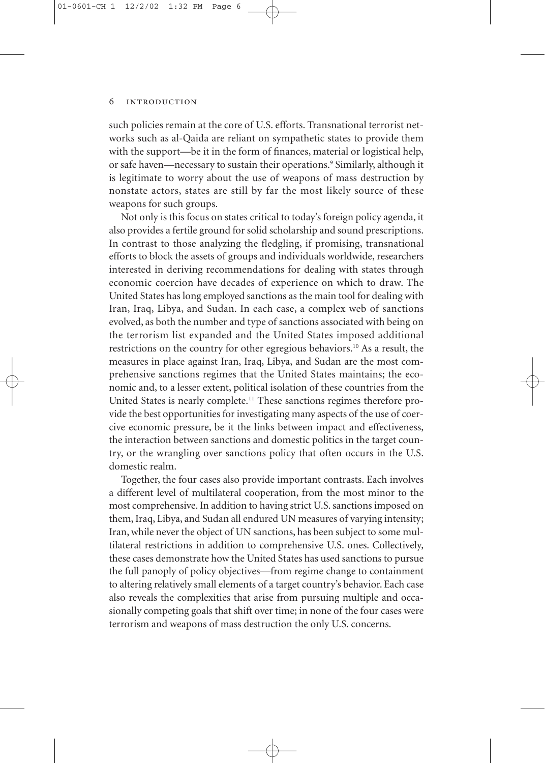such policies remain at the core of U.S. efforts. Transnational terrorist networks such as al-Qaida are reliant on sympathetic states to provide them with the support—be it in the form of finances, material or logistical help, or safe haven—necessary to sustain their operations.<sup>9</sup> Similarly, although it is legitimate to worry about the use of weapons of mass destruction by nonstate actors, states are still by far the most likely source of these weapons for such groups.

Not only is this focus on states critical to today's foreign policy agenda, it also provides a fertile ground for solid scholarship and sound prescriptions. In contrast to those analyzing the fledgling, if promising, transnational efforts to block the assets of groups and individuals worldwide, researchers interested in deriving recommendations for dealing with states through economic coercion have decades of experience on which to draw. The United States has long employed sanctions as the main tool for dealing with Iran, Iraq, Libya, and Sudan. In each case, a complex web of sanctions evolved, as both the number and type of sanctions associated with being on the terrorism list expanded and the United States imposed additional restrictions on the country for other egregious behaviors.<sup>10</sup> As a result, the measures in place against Iran, Iraq, Libya, and Sudan are the most comprehensive sanctions regimes that the United States maintains; the economic and, to a lesser extent, political isolation of these countries from the United States is nearly complete.<sup>11</sup> These sanctions regimes therefore provide the best opportunities for investigating many aspects of the use of coercive economic pressure, be it the links between impact and effectiveness, the interaction between sanctions and domestic politics in the target country, or the wrangling over sanctions policy that often occurs in the U.S. domestic realm.

Together, the four cases also provide important contrasts. Each involves a different level of multilateral cooperation, from the most minor to the most comprehensive. In addition to having strict U.S. sanctions imposed on them, Iraq, Libya, and Sudan all endured UN measures of varying intensity; Iran, while never the object of UN sanctions, has been subject to some multilateral restrictions in addition to comprehensive U.S. ones. Collectively, these cases demonstrate how the United States has used sanctions to pursue the full panoply of policy objectives—from regime change to containment to altering relatively small elements of a target country's behavior. Each case also reveals the complexities that arise from pursuing multiple and occasionally competing goals that shift over time; in none of the four cases were terrorism and weapons of mass destruction the only U.S. concerns.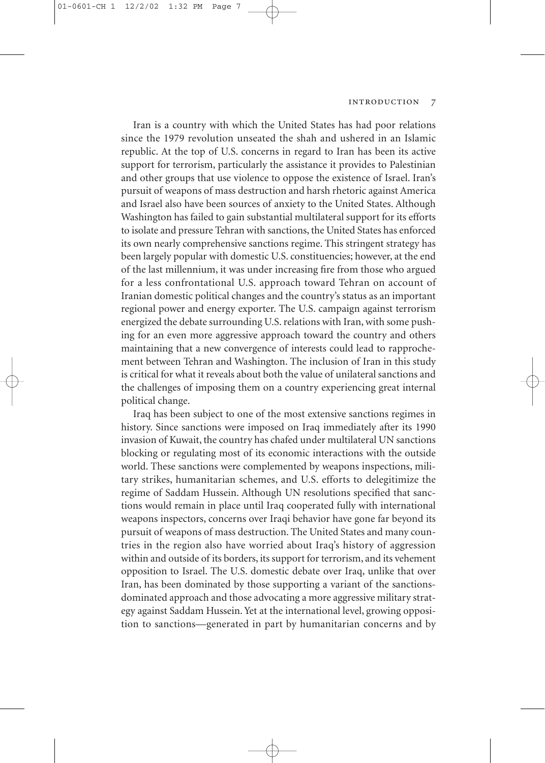Iran is a country with which the United States has had poor relations since the 1979 revolution unseated the shah and ushered in an Islamic republic. At the top of U.S. concerns in regard to Iran has been its active support for terrorism, particularly the assistance it provides to Palestinian and other groups that use violence to oppose the existence of Israel. Iran's pursuit of weapons of mass destruction and harsh rhetoric against America and Israel also have been sources of anxiety to the United States. Although Washington has failed to gain substantial multilateral support for its efforts to isolate and pressure Tehran with sanctions, the United States has enforced its own nearly comprehensive sanctions regime. This stringent strategy has been largely popular with domestic U.S. constituencies; however, at the end of the last millennium, it was under increasing fire from those who argued for a less confrontational U.S. approach toward Tehran on account of Iranian domestic political changes and the country's status as an important regional power and energy exporter. The U.S. campaign against terrorism energized the debate surrounding U.S. relations with Iran, with some pushing for an even more aggressive approach toward the country and others maintaining that a new convergence of interests could lead to rapprochement between Tehran and Washington. The inclusion of Iran in this study is critical for what it reveals about both the value of unilateral sanctions and the challenges of imposing them on a country experiencing great internal political change.

Iraq has been subject to one of the most extensive sanctions regimes in history. Since sanctions were imposed on Iraq immediately after its 1990 invasion of Kuwait, the country has chafed under multilateral UN sanctions blocking or regulating most of its economic interactions with the outside world. These sanctions were complemented by weapons inspections, military strikes, humanitarian schemes, and U.S. efforts to delegitimize the regime of Saddam Hussein. Although UN resolutions specified that sanctions would remain in place until Iraq cooperated fully with international weapons inspectors, concerns over Iraqi behavior have gone far beyond its pursuit of weapons of mass destruction. The United States and many countries in the region also have worried about Iraq's history of aggression within and outside of its borders, its support for terrorism, and its vehement opposition to Israel. The U.S. domestic debate over Iraq, unlike that over Iran, has been dominated by those supporting a variant of the sanctionsdominated approach and those advocating a more aggressive military strategy against Saddam Hussein. Yet at the international level, growing opposition to sanctions—generated in part by humanitarian concerns and by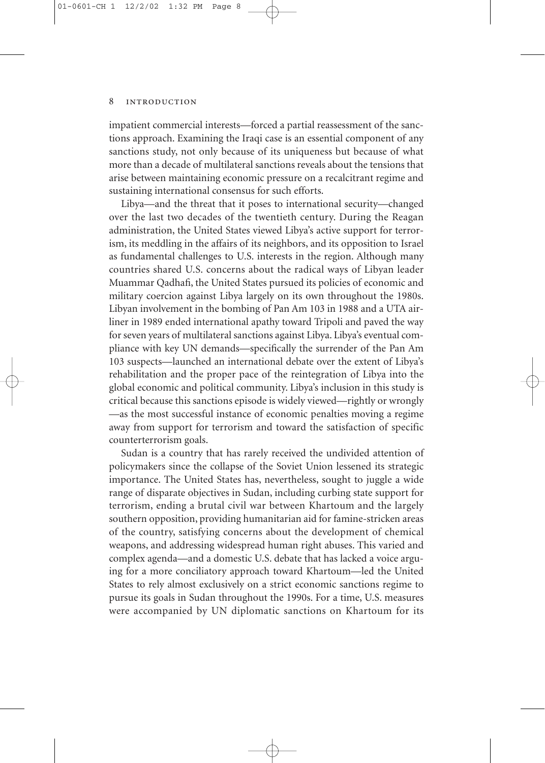#### 8 INTRODUCTION

impatient commercial interests—forced a partial reassessment of the sanctions approach. Examining the Iraqi case is an essential component of any sanctions study, not only because of its uniqueness but because of what more than a decade of multilateral sanctions reveals about the tensions that arise between maintaining economic pressure on a recalcitrant regime and sustaining international consensus for such efforts.

Libya—and the threat that it poses to international security—changed over the last two decades of the twentieth century. During the Reagan administration, the United States viewed Libya's active support for terrorism, its meddling in the affairs of its neighbors, and its opposition to Israel as fundamental challenges to U.S. interests in the region. Although many countries shared U.S. concerns about the radical ways of Libyan leader Muammar Qadhafi, the United States pursued its policies of economic and military coercion against Libya largely on its own throughout the 1980s. Libyan involvement in the bombing of Pan Am 103 in 1988 and a UTA airliner in 1989 ended international apathy toward Tripoli and paved the way for seven years of multilateral sanctions against Libya. Libya's eventual compliance with key UN demands—specifically the surrender of the Pan Am 103 suspects—launched an international debate over the extent of Libya's rehabilitation and the proper pace of the reintegration of Libya into the global economic and political community. Libya's inclusion in this study is critical because this sanctions episode is widely viewed—rightly or wrongly —as the most successful instance of economic penalties moving a regime away from support for terrorism and toward the satisfaction of specific counterterrorism goals.

Sudan is a country that has rarely received the undivided attention of policymakers since the collapse of the Soviet Union lessened its strategic importance. The United States has, nevertheless, sought to juggle a wide range of disparate objectives in Sudan, including curbing state support for terrorism, ending a brutal civil war between Khartoum and the largely southern opposition, providing humanitarian aid for famine-stricken areas of the country, satisfying concerns about the development of chemical weapons, and addressing widespread human right abuses. This varied and complex agenda—and a domestic U.S. debate that has lacked a voice arguing for a more conciliatory approach toward Khartoum—led the United States to rely almost exclusively on a strict economic sanctions regime to pursue its goals in Sudan throughout the 1990s. For a time, U.S. measures were accompanied by UN diplomatic sanctions on Khartoum for its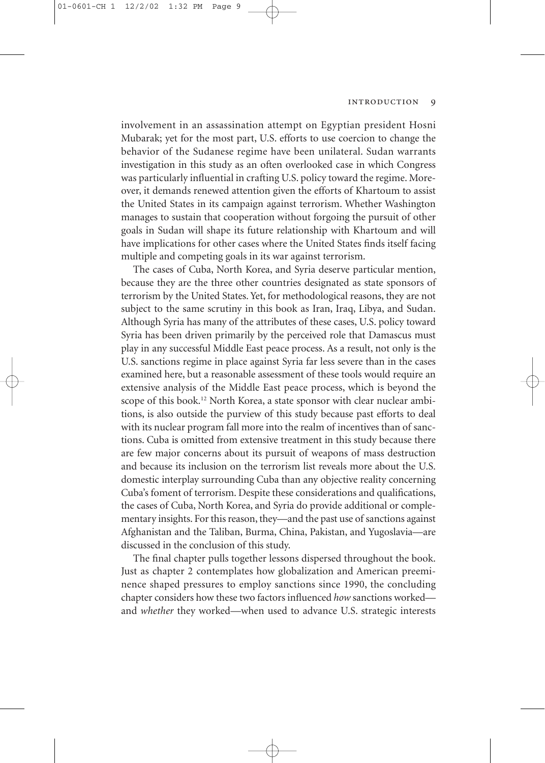involvement in an assassination attempt on Egyptian president Hosni Mubarak; yet for the most part, U.S. efforts to use coercion to change the behavior of the Sudanese regime have been unilateral. Sudan warrants investigation in this study as an often overlooked case in which Congress was particularly influential in crafting U.S. policy toward the regime. Moreover, it demands renewed attention given the efforts of Khartoum to assist the United States in its campaign against terrorism. Whether Washington manages to sustain that cooperation without forgoing the pursuit of other goals in Sudan will shape its future relationship with Khartoum and will have implications for other cases where the United States finds itself facing multiple and competing goals in its war against terrorism.

The cases of Cuba, North Korea, and Syria deserve particular mention, because they are the three other countries designated as state sponsors of terrorism by the United States. Yet, for methodological reasons, they are not subject to the same scrutiny in this book as Iran, Iraq, Libya, and Sudan. Although Syria has many of the attributes of these cases, U.S. policy toward Syria has been driven primarily by the perceived role that Damascus must play in any successful Middle East peace process. As a result, not only is the U.S. sanctions regime in place against Syria far less severe than in the cases examined here, but a reasonable assessment of these tools would require an extensive analysis of the Middle East peace process, which is beyond the scope of this book.12 North Korea, a state sponsor with clear nuclear ambitions, is also outside the purview of this study because past efforts to deal with its nuclear program fall more into the realm of incentives than of sanctions. Cuba is omitted from extensive treatment in this study because there are few major concerns about its pursuit of weapons of mass destruction and because its inclusion on the terrorism list reveals more about the U.S. domestic interplay surrounding Cuba than any objective reality concerning Cuba's foment of terrorism. Despite these considerations and qualifications, the cases of Cuba, North Korea, and Syria do provide additional or complementary insights. For this reason, they—and the past use of sanctions against Afghanistan and the Taliban, Burma, China, Pakistan, and Yugoslavia—are discussed in the conclusion of this study.

The final chapter pulls together lessons dispersed throughout the book. Just as chapter 2 contemplates how globalization and American preeminence shaped pressures to employ sanctions since 1990, the concluding chapter considers how these two factors influenced *how* sanctions worked and *whether* they worked—when used to advance U.S. strategic interests